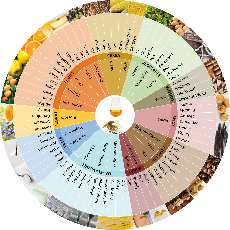